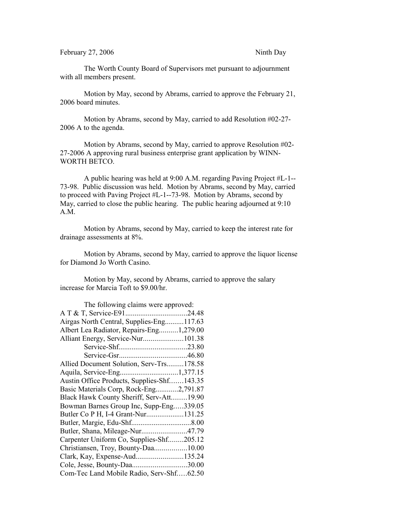The Worth County Board of Supervisors met pursuant to adjournment with all members present.

Motion by May, second by Abrams, carried to approve the February 21, 2006 board minutes.

Motion by Abrams, second by May, carried to add Resolution #02-27- 2006 A to the agenda.

Motion by Abrams, second by May, carried to approve Resolution #02- 27-2006 A approving rural business enterprise grant application by WINN-WORTH BETCO.

A public hearing was held at 9:00 A.M. regarding Paving Project #L-1-- 73-98. Public discussion was held. Motion by Abrams, second by May, carried to proceed with Paving Project #L-1--73-98. Motion by Abrams, second by May, carried to close the public hearing. The public hearing adjourned at 9:10 A.M.

Motion by Abrams, second by May, carried to keep the interest rate for drainage assessments at 8%.

Motion by Abrams, second by May, carried to approve the liquor license for Diamond Jo Worth Casino.

Motion by May, second by Abrams, carried to approve the salary increase for Marcia Toft to \$9.00/hr.

| The following claims were approved:        |  |
|--------------------------------------------|--|
|                                            |  |
| Airgas North Central, Supplies-Eng117.63   |  |
| Albert Lea Radiator, Repairs-Eng1,279.00   |  |
| Alliant Energy, Service-Nur101.38          |  |
|                                            |  |
|                                            |  |
| Allied Document Solution, Serv-Trs178.58   |  |
|                                            |  |
| Austin Office Products, Supplies-Shf143.35 |  |
| Basic Materials Corp, Rock-Eng2,791.87     |  |
| Black Hawk County Sheriff, Serv-Att19.90   |  |
| Bowman Barnes Group Inc, Supp-Eng339.05    |  |
| Butler Co P H, I-4 Grant-Nur131.25         |  |
|                                            |  |
| Butler, Shana, Mileage-Nur47.79            |  |
| Carpenter Uniform Co, Supplies-Shf205.12   |  |
| Christiansen, Troy, Bounty-Daa10.00        |  |
| Clark, Kay, Expense-Aud135.24              |  |
| Cole, Jesse, Bounty-Daa30.00               |  |
| Com-Tec Land Mobile Radio, Serv-Shf62.50   |  |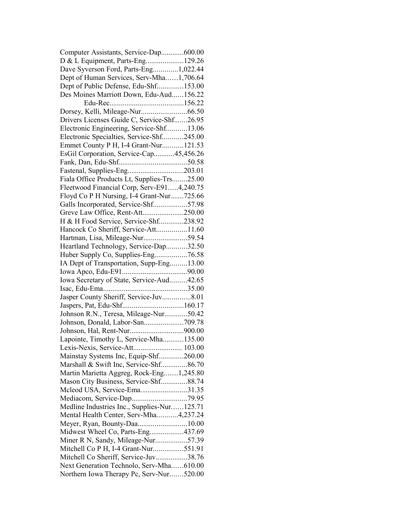| Computer Assistants, Service-Dap600.00      |  |
|---------------------------------------------|--|
| D & L Equipment, Parts-Eng129.26            |  |
| Dave Syverson Ford, Parts-Eng1,022.44       |  |
| Dept of Human Services, Serv-Mha1,706.64    |  |
| Dept of Public Defense, Edu-Shf153.00       |  |
| Des Moines Marriott Down, Edu-Aud156.22     |  |
|                                             |  |
|                                             |  |
| Drivers Licenses Guide C, Service-Shf26.95  |  |
| Electronic Engineering, Service-Shf13.06    |  |
| Electronic Specialties, Service-Shf245.00   |  |
| Emmet County P H, I-4 Grant-Nur121.53       |  |
| EsGil Corporation, Service-Cap45,456.26     |  |
|                                             |  |
| Fastenal, Supplies-Eng203.01                |  |
| Fiala Office Products Lt, Supplies-Trs25.00 |  |
|                                             |  |
| Fleetwood Financial Corp, Serv-E914,240.75  |  |
| Floyd Co P H Nursing, I-4 Grant-Nur725.66   |  |
| Galls Incorporated, Service-Shf57.98        |  |
| Greve Law Office, Rent-Att250.00            |  |
| H & H Food Service, Service-Shf238.92       |  |
| Hancock Co Sheriff, Service-Att11.60        |  |
| Hartman, Lisa, Mileage-Nur59.54             |  |
| Heartland Technology, Service-Dap32.50      |  |
| Huber Supply Co, Supplies-Eng76.58          |  |
| IA Dept of Transportation, Supp-Eng13.00    |  |
|                                             |  |
| Iowa Secretary of State, Service-Aud42.65   |  |
|                                             |  |
| Jasper County Sheriff, Service-Juv8.01      |  |
|                                             |  |
| Johnson R.N., Teresa, Mileage-Nur50.42      |  |
| Johnson, Donald, Labor-San709.78            |  |
|                                             |  |
| Lapointe, Timothy L, Service-Mha135.00      |  |
| Lexis-Nexis, Service-Att 103.00             |  |
| Mainstay Systems Inc, Equip-Shf260.00       |  |
| Marshall & Swift Inc, Service-Shf86.70      |  |
| Martin Marietta Aggreg, Rock-Eng1,245.80    |  |
| Mason City Business, Service-Shf88.74       |  |
|                                             |  |
| Mcleod USA, Service-Ema31.35                |  |
|                                             |  |
| Medline Industries Inc., Supplies-Nur125.71 |  |
| Mental Health Center, Serv-Mha4,237.24      |  |
| Meyer, Ryan, Bounty-Daa10.00                |  |
| Midwest Wheel Co, Parts-Eng437.69           |  |
| Miner R N, Sandy, Mileage-Nur57.39          |  |
| Mitchell Co P H, I-4 Grant-Nur551.91        |  |
| Mitchell Co Sheriff, Service-Juv38.76       |  |
| Next Generation Technolo, Serv-Mha610.00    |  |
| Northern Iowa Therapy Pc, Serv-Nur520.00    |  |